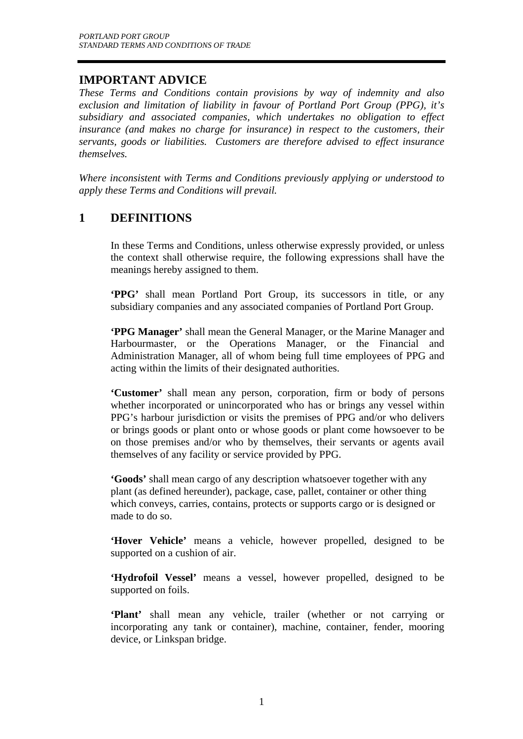## **IMPORTANT ADVICE**

*These Terms and Conditions contain provisions by way of indemnity and also exclusion and limitation of liability in favour of Portland Port Group (PPG), it's subsidiary and associated companies, which undertakes no obligation to effect insurance (and makes no charge for insurance) in respect to the customers, their servants, goods or liabilities. Customers are therefore advised to effect insurance themselves.* 

*Where inconsistent with Terms and Conditions previously applying or understood to apply these Terms and Conditions will prevail.* 

## **1 DEFINITIONS**

In these Terms and Conditions, unless otherwise expressly provided, or unless the context shall otherwise require, the following expressions shall have the meanings hereby assigned to them.

**'PPG'** shall mean Portland Port Group, its successors in title, or any subsidiary companies and any associated companies of Portland Port Group.

**'PPG Manager'** shall mean the General Manager, or the Marine Manager and Harbourmaster, or the Operations Manager, or the Financial and Administration Manager, all of whom being full time employees of PPG and acting within the limits of their designated authorities.

**'Customer'** shall mean any person, corporation, firm or body of persons whether incorporated or unincorporated who has or brings any vessel within PPG's harbour jurisdiction or visits the premises of PPG and/or who delivers or brings goods or plant onto or whose goods or plant come howsoever to be on those premises and/or who by themselves, their servants or agents avail themselves of any facility or service provided by PPG.

**'Goods'** shall mean cargo of any description whatsoever together with any plant (as defined hereunder), package, case, pallet, container or other thing which conveys, carries, contains, protects or supports cargo or is designed or made to do so.

**'Hover Vehicle'** means a vehicle, however propelled, designed to be supported on a cushion of air.

**'Hydrofoil Vessel'** means a vessel, however propelled, designed to be supported on foils.

**'Plant'** shall mean any vehicle, trailer (whether or not carrying or incorporating any tank or container), machine, container, fender, mooring device, or Linkspan bridge.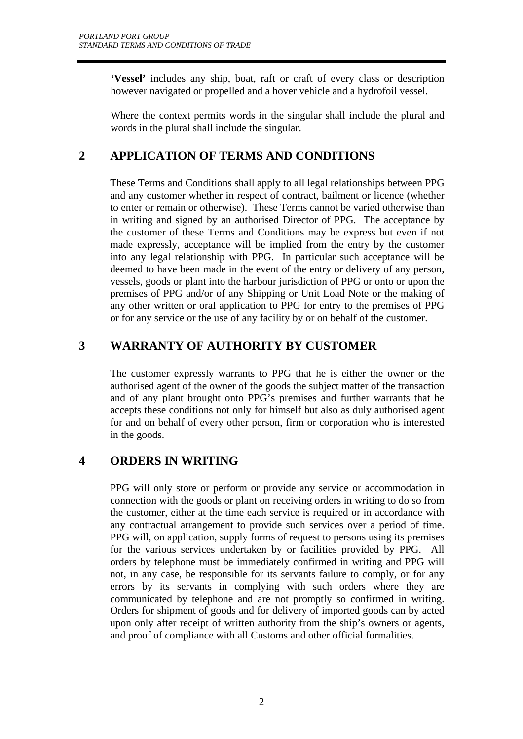**'Vessel'** includes any ship, boat, raft or craft of every class or description however navigated or propelled and a hover vehicle and a hydrofoil vessel.

Where the context permits words in the singular shall include the plural and words in the plural shall include the singular.

# **2 APPLICATION OF TERMS AND CONDITIONS**

These Terms and Conditions shall apply to all legal relationships between PPG and any customer whether in respect of contract, bailment or licence (whether to enter or remain or otherwise). These Terms cannot be varied otherwise than in writing and signed by an authorised Director of PPG. The acceptance by the customer of these Terms and Conditions may be express but even if not made expressly, acceptance will be implied from the entry by the customer into any legal relationship with PPG. In particular such acceptance will be deemed to have been made in the event of the entry or delivery of any person, vessels, goods or plant into the harbour jurisdiction of PPG or onto or upon the premises of PPG and/or of any Shipping or Unit Load Note or the making of any other written or oral application to PPG for entry to the premises of PPG or for any service or the use of any facility by or on behalf of the customer.

# **3 WARRANTY OF AUTHORITY BY CUSTOMER**

The customer expressly warrants to PPG that he is either the owner or the authorised agent of the owner of the goods the subject matter of the transaction and of any plant brought onto PPG's premises and further warrants that he accepts these conditions not only for himself but also as duly authorised agent for and on behalf of every other person, firm or corporation who is interested in the goods.

# **4 ORDERS IN WRITING**

PPG will only store or perform or provide any service or accommodation in connection with the goods or plant on receiving orders in writing to do so from the customer, either at the time each service is required or in accordance with any contractual arrangement to provide such services over a period of time. PPG will, on application, supply forms of request to persons using its premises for the various services undertaken by or facilities provided by PPG. All orders by telephone must be immediately confirmed in writing and PPG will not, in any case, be responsible for its servants failure to comply, or for any errors by its servants in complying with such orders where they are communicated by telephone and are not promptly so confirmed in writing. Orders for shipment of goods and for delivery of imported goods can by acted upon only after receipt of written authority from the ship's owners or agents, and proof of compliance with all Customs and other official formalities.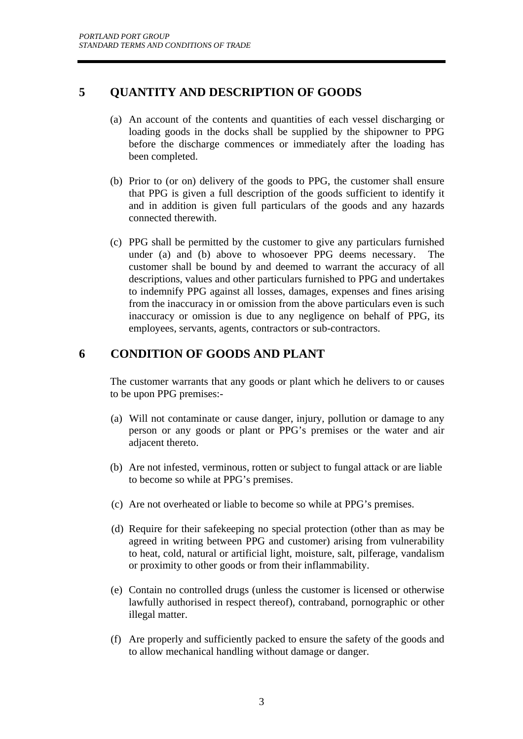## **5 QUANTITY AND DESCRIPTION OF GOODS**

- (a) An account of the contents and quantities of each vessel discharging or loading goods in the docks shall be supplied by the shipowner to PPG before the discharge commences or immediately after the loading has been completed.
- (b) Prior to (or on) delivery of the goods to PPG, the customer shall ensure that PPG is given a full description of the goods sufficient to identify it and in addition is given full particulars of the goods and any hazards connected therewith.
- (c) PPG shall be permitted by the customer to give any particulars furnished under (a) and (b) above to whosoever PPG deems necessary. The customer shall be bound by and deemed to warrant the accuracy of all descriptions, values and other particulars furnished to PPG and undertakes to indemnify PPG against all losses, damages, expenses and fines arising from the inaccuracy in or omission from the above particulars even is such inaccuracy or omission is due to any negligence on behalf of PPG, its employees, servants, agents, contractors or sub-contractors.

# **6 CONDITION OF GOODS AND PLANT**

The customer warrants that any goods or plant which he delivers to or causes to be upon PPG premises:-

- (a) Will not contaminate or cause danger, injury, pollution or damage to any person or any goods or plant or PPG's premises or the water and air adjacent thereto.
- (b) Are not infested, verminous, rotten or subject to fungal attack or are liable to become so while at PPG's premises.
- (c) Are not overheated or liable to become so while at PPG's premises.
- (d) Require for their safekeeping no special protection (other than as may be agreed in writing between PPG and customer) arising from vulnerability to heat, cold, natural or artificial light, moisture, salt, pilferage, vandalism or proximity to other goods or from their inflammability.
- (e) Contain no controlled drugs (unless the customer is licensed or otherwise lawfully authorised in respect thereof), contraband, pornographic or other illegal matter.
- (f) Are properly and sufficiently packed to ensure the safety of the goods and to allow mechanical handling without damage or danger.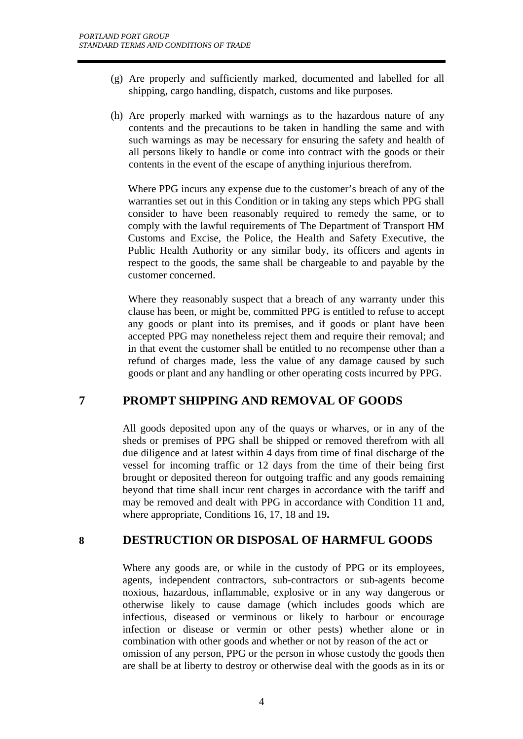- (g) Are properly and sufficiently marked, documented and labelled for all shipping, cargo handling, dispatch, customs and like purposes.
- (h) Are properly marked with warnings as to the hazardous nature of any contents and the precautions to be taken in handling the same and with such warnings as may be necessary for ensuring the safety and health of all persons likely to handle or come into contract with the goods or their contents in the event of the escape of anything injurious therefrom.

Where PPG incurs any expense due to the customer's breach of any of the warranties set out in this Condition or in taking any steps which PPG shall consider to have been reasonably required to remedy the same, or to comply with the lawful requirements of The Department of Transport HM Customs and Excise, the Police, the Health and Safety Executive, the Public Health Authority or any similar body, its officers and agents in respect to the goods, the same shall be chargeable to and payable by the customer concerned.

Where they reasonably suspect that a breach of any warranty under this clause has been, or might be, committed PPG is entitled to refuse to accept any goods or plant into its premises, and if goods or plant have been accepted PPG may nonetheless reject them and require their removal; and in that event the customer shall be entitled to no recompense other than a refund of charges made, less the value of any damage caused by such goods or plant and any handling or other operating costs incurred by PPG.

## **7 PROMPT SHIPPING AND REMOVAL OF GOODS**

All goods deposited upon any of the quays or wharves, or in any of the sheds or premises of PPG shall be shipped or removed therefrom with all due diligence and at latest within 4 days from time of final discharge of the vessel for incoming traffic or 12 days from the time of their being first brought or deposited thereon for outgoing traffic and any goods remaining beyond that time shall incur rent charges in accordance with the tariff and may be removed and dealt with PPG in accordance with Condition 11 and, where appropriate, Conditions 16, 17, 18 and 19**.** 

## **8 DESTRUCTION OR DISPOSAL OF HARMFUL GOODS**

Where any goods are, or while in the custody of PPG or its employees, agents, independent contractors, sub-contractors or sub-agents become noxious, hazardous, inflammable, explosive or in any way dangerous or otherwise likely to cause damage (which includes goods which are infectious, diseased or verminous or likely to harbour or encourage infection or disease or vermin or other pests) whether alone or in combination with other goods and whether or not by reason of the act or omission of any person, PPG or the person in whose custody the goods then are shall be at liberty to destroy or otherwise deal with the goods as in its or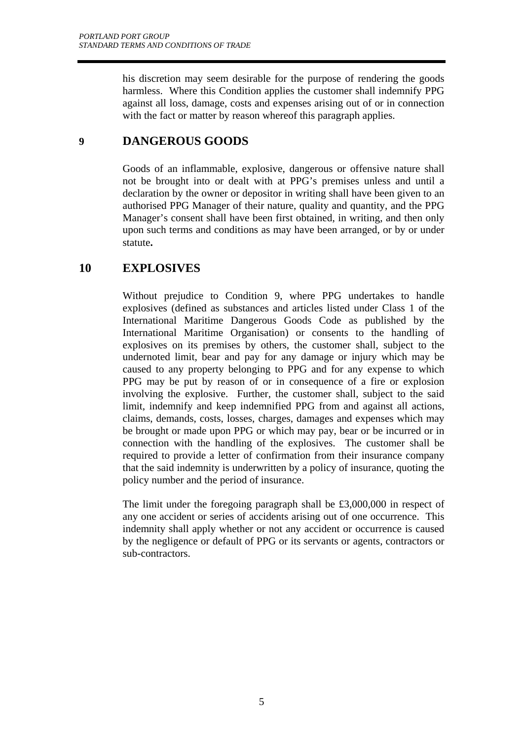his discretion may seem desirable for the purpose of rendering the goods harmless. Where this Condition applies the customer shall indemnify PPG against all loss, damage, costs and expenses arising out of or in connection with the fact or matter by reason whereof this paragraph applies.

## **9 DANGEROUS GOODS**

Goods of an inflammable, explosive, dangerous or offensive nature shall not be brought into or dealt with at PPG's premises unless and until a declaration by the owner or depositor in writing shall have been given to an authorised PPG Manager of their nature, quality and quantity, and the PPG Manager's consent shall have been first obtained, in writing, and then only upon such terms and conditions as may have been arranged, or by or under statute**.** 

## **10 EXPLOSIVES**

Without prejudice to Condition 9, where PPG undertakes to handle explosives (defined as substances and articles listed under Class 1 of the International Maritime Dangerous Goods Code as published by the International Maritime Organisation) or consents to the handling of explosives on its premises by others, the customer shall, subject to the undernoted limit, bear and pay for any damage or injury which may be caused to any property belonging to PPG and for any expense to which PPG may be put by reason of or in consequence of a fire or explosion involving the explosive. Further, the customer shall, subject to the said limit, indemnify and keep indemnified PPG from and against all actions, claims, demands, costs, losses, charges, damages and expenses which may be brought or made upon PPG or which may pay, bear or be incurred or in connection with the handling of the explosives. The customer shall be required to provide a letter of confirmation from their insurance company that the said indemnity is underwritten by a policy of insurance, quoting the policy number and the period of insurance.

 The limit under the foregoing paragraph shall be £3,000,000 in respect of any one accident or series of accidents arising out of one occurrence. This indemnity shall apply whether or not any accident or occurrence is caused by the negligence or default of PPG or its servants or agents, contractors or sub-contractors.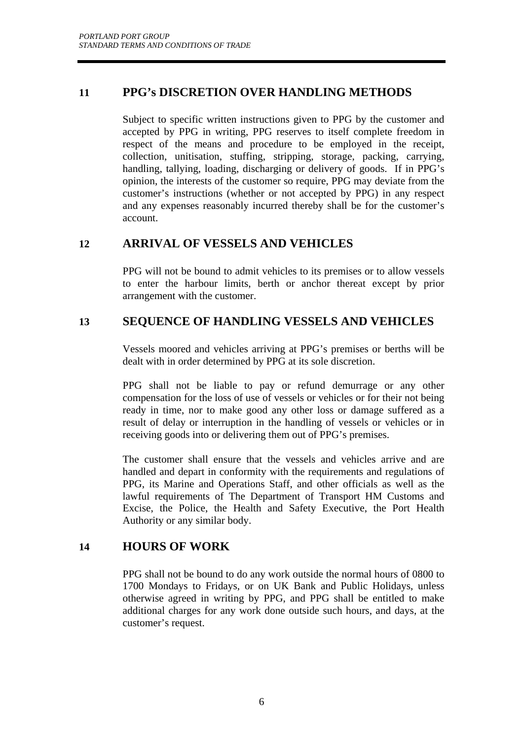## **11 PPG's DISCRETION OVER HANDLING METHODS**

 Subject to specific written instructions given to PPG by the customer and accepted by PPG in writing, PPG reserves to itself complete freedom in respect of the means and procedure to be employed in the receipt, collection, unitisation, stuffing, stripping, storage, packing, carrying, handling, tallying, loading, discharging or delivery of goods. If in PPG's opinion, the interests of the customer so require, PPG may deviate from the customer's instructions (whether or not accepted by PPG) in any respect and any expenses reasonably incurred thereby shall be for the customer's account.

## **12 ARRIVAL OF VESSELS AND VEHICLES**

PPG will not be bound to admit vehicles to its premises or to allow vessels to enter the harbour limits, berth or anchor thereat except by prior arrangement with the customer.

## **13 SEQUENCE OF HANDLING VESSELS AND VEHICLES**

Vessels moored and vehicles arriving at PPG's premises or berths will be dealt with in order determined by PPG at its sole discretion.

 PPG shall not be liable to pay or refund demurrage or any other compensation for the loss of use of vessels or vehicles or for their not being ready in time, nor to make good any other loss or damage suffered as a result of delay or interruption in the handling of vessels or vehicles or in receiving goods into or delivering them out of PPG's premises.

 The customer shall ensure that the vessels and vehicles arrive and are handled and depart in conformity with the requirements and regulations of PPG, its Marine and Operations Staff, and other officials as well as the lawful requirements of The Department of Transport HM Customs and Excise, the Police, the Health and Safety Executive, the Port Health Authority or any similar body.

## **14 HOURS OF WORK**

PPG shall not be bound to do any work outside the normal hours of 0800 to 1700 Mondays to Fridays, or on UK Bank and Public Holidays, unless otherwise agreed in writing by PPG, and PPG shall be entitled to make additional charges for any work done outside such hours, and days, at the customer's request.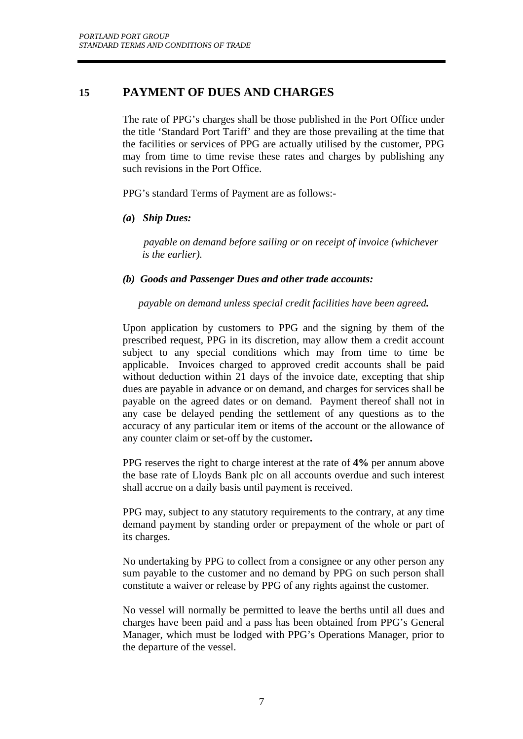## **15 PAYMENT OF DUES AND CHARGES**

 The rate of PPG's charges shall be those published in the Port Office under the title 'Standard Port Tariff' and they are those prevailing at the time that the facilities or services of PPG are actually utilised by the customer, PPG may from time to time revise these rates and charges by publishing any such revisions in the Port Office.

PPG's standard Terms of Payment are as follows:-

*(a***)** *Ship Dues:* 

 *payable on demand before sailing or on receipt of invoice (whichever is the earlier).*

#### *(b) Goods and Passenger Dues and other trade accounts:*

 *payable on demand unless special credit facilities have been agreed.* 

Upon application by customers to PPG and the signing by them of the prescribed request, PPG in its discretion, may allow them a credit account subject to any special conditions which may from time to time be applicable. Invoices charged to approved credit accounts shall be paid without deduction within 21 days of the invoice date, excepting that ship dues are payable in advance or on demand, and charges for services shall be payable on the agreed dates or on demand. Payment thereof shall not in any case be delayed pending the settlement of any questions as to the accuracy of any particular item or items of the account or the allowance of any counter claim or set-off by the customer**.**

PPG reserves the right to charge interest at the rate of **4%** per annum above the base rate of Lloyds Bank plc on all accounts overdue and such interest shall accrue on a daily basis until payment is received.

 PPG may, subject to any statutory requirements to the contrary, at any time demand payment by standing order or prepayment of the whole or part of its charges.

 No undertaking by PPG to collect from a consignee or any other person any sum payable to the customer and no demand by PPG on such person shall constitute a waiver or release by PPG of any rights against the customer.

 No vessel will normally be permitted to leave the berths until all dues and charges have been paid and a pass has been obtained from PPG's General Manager, which must be lodged with PPG's Operations Manager, prior to the departure of the vessel.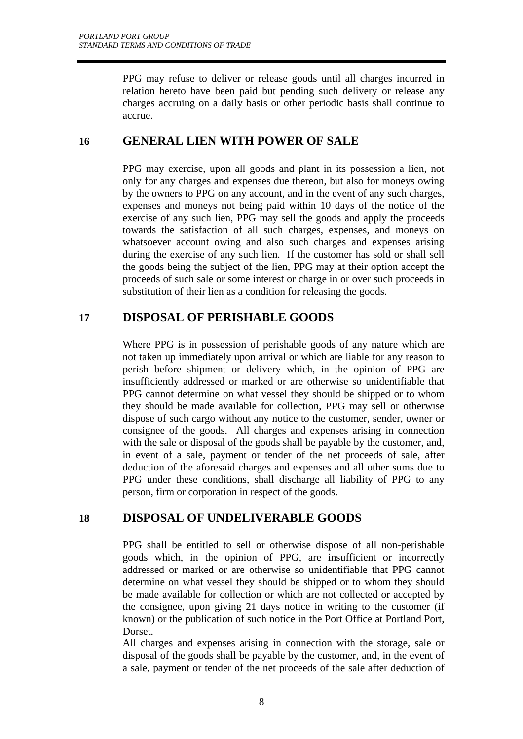PPG may refuse to deliver or release goods until all charges incurred in relation hereto have been paid but pending such delivery or release any charges accruing on a daily basis or other periodic basis shall continue to accrue.

## **16 GENERAL LIEN WITH POWER OF SALE**

PPG may exercise, upon all goods and plant in its possession a lien, not only for any charges and expenses due thereon, but also for moneys owing by the owners to PPG on any account, and in the event of any such charges, expenses and moneys not being paid within 10 days of the notice of the exercise of any such lien, PPG may sell the goods and apply the proceeds towards the satisfaction of all such charges, expenses, and moneys on whatsoever account owing and also such charges and expenses arising during the exercise of any such lien. If the customer has sold or shall sell the goods being the subject of the lien, PPG may at their option accept the proceeds of such sale or some interest or charge in or over such proceeds in substitution of their lien as a condition for releasing the goods.

## **17 DISPOSAL OF PERISHABLE GOODS**

Where PPG is in possession of perishable goods of any nature which are not taken up immediately upon arrival or which are liable for any reason to perish before shipment or delivery which, in the opinion of PPG are insufficiently addressed or marked or are otherwise so unidentifiable that PPG cannot determine on what vessel they should be shipped or to whom they should be made available for collection, PPG may sell or otherwise dispose of such cargo without any notice to the customer, sender, owner or consignee of the goods. All charges and expenses arising in connection with the sale or disposal of the goods shall be payable by the customer, and, in event of a sale, payment or tender of the net proceeds of sale, after deduction of the aforesaid charges and expenses and all other sums due to PPG under these conditions, shall discharge all liability of PPG to any person, firm or corporation in respect of the goods.

## **18 DISPOSAL OF UNDELIVERABLE GOODS**

 PPG shall be entitled to sell or otherwise dispose of all non-perishable goods which, in the opinion of PPG, are insufficient or incorrectly addressed or marked or are otherwise so unidentifiable that PPG cannot determine on what vessel they should be shipped or to whom they should be made available for collection or which are not collected or accepted by the consignee, upon giving 21 days notice in writing to the customer (if known) or the publication of such notice in the Port Office at Portland Port, **Dorset** 

All charges and expenses arising in connection with the storage, sale or disposal of the goods shall be payable by the customer, and, in the event of a sale, payment or tender of the net proceeds of the sale after deduction of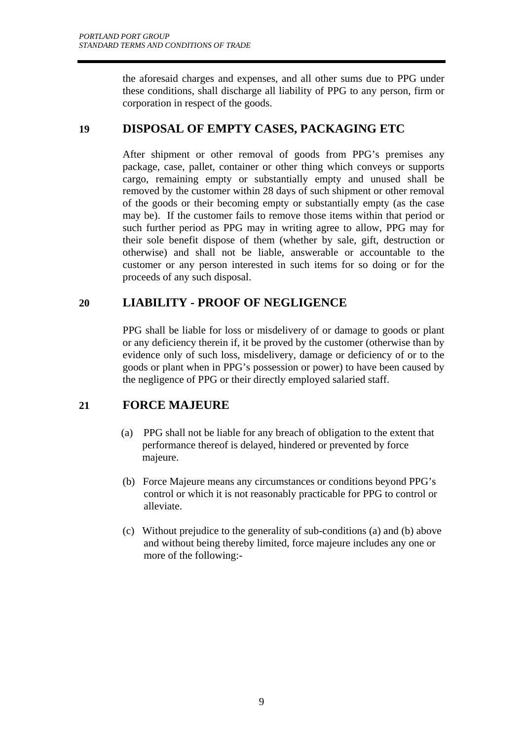the aforesaid charges and expenses, and all other sums due to PPG under these conditions, shall discharge all liability of PPG to any person, firm or corporation in respect of the goods.

## **19 DISPOSAL OF EMPTY CASES, PACKAGING ETC**

 After shipment or other removal of goods from PPG's premises any package, case, pallet, container or other thing which conveys or supports cargo, remaining empty or substantially empty and unused shall be removed by the customer within 28 days of such shipment or other removal of the goods or their becoming empty or substantially empty (as the case may be). If the customer fails to remove those items within that period or such further period as PPG may in writing agree to allow, PPG may for their sole benefit dispose of them (whether by sale, gift, destruction or otherwise) and shall not be liable, answerable or accountable to the customer or any person interested in such items for so doing or for the proceeds of any such disposal.

## **20 LIABILITY - PROOF OF NEGLIGENCE**

PPG shall be liable for loss or misdelivery of or damage to goods or plant or any deficiency therein if, it be proved by the customer (otherwise than by evidence only of such loss, misdelivery, damage or deficiency of or to the goods or plant when in PPG's possession or power) to have been caused by the negligence of PPG or their directly employed salaried staff.

## **21 FORCE MAJEURE**

- (a) PPG shall not be liable for any breach of obligation to the extent that performance thereof is delayed, hindered or prevented by force majeure.
- (b) Force Majeure means any circumstances or conditions beyond PPG's control or which it is not reasonably practicable for PPG to control or alleviate.
- (c) Without prejudice to the generality of sub-conditions (a) and (b) above and without being thereby limited, force majeure includes any one or more of the following:-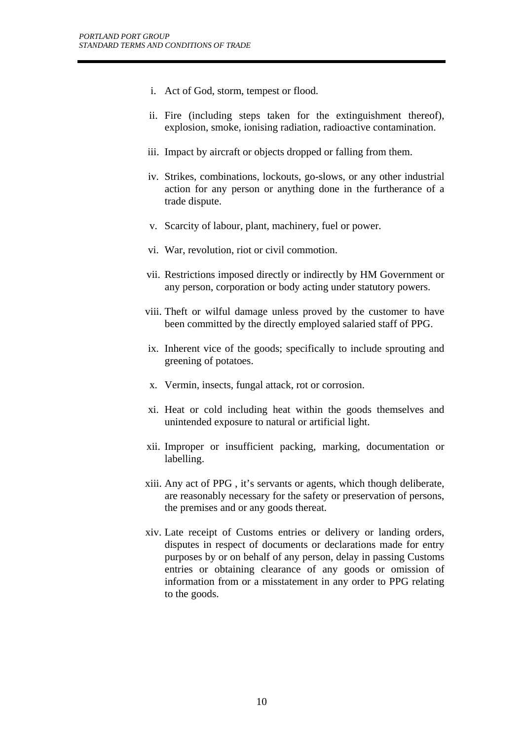- i. Act of God, storm, tempest or flood.
- ii. Fire (including steps taken for the extinguishment thereof), explosion, smoke, ionising radiation, radioactive contamination.
- iii. Impact by aircraft or objects dropped or falling from them.
- iv. Strikes, combinations, lockouts, go-slows, or any other industrial action for any person or anything done in the furtherance of a trade dispute.
- v. Scarcity of labour, plant, machinery, fuel or power.
- vi. War, revolution, riot or civil commotion.
- vii. Restrictions imposed directly or indirectly by HM Government or any person, corporation or body acting under statutory powers.
- viii. Theft or wilful damage unless proved by the customer to have been committed by the directly employed salaried staff of PPG.
- ix. Inherent vice of the goods; specifically to include sprouting and greening of potatoes.
- x. Vermin, insects, fungal attack, rot or corrosion.
- xi. Heat or cold including heat within the goods themselves and unintended exposure to natural or artificial light.
- xii. Improper or insufficient packing, marking, documentation or labelling.
- xiii. Any act of PPG , it's servants or agents, which though deliberate, are reasonably necessary for the safety or preservation of persons, the premises and or any goods thereat.
- xiv. Late receipt of Customs entries or delivery or landing orders, disputes in respect of documents or declarations made for entry purposes by or on behalf of any person, delay in passing Customs entries or obtaining clearance of any goods or omission of information from or a misstatement in any order to PPG relating to the goods.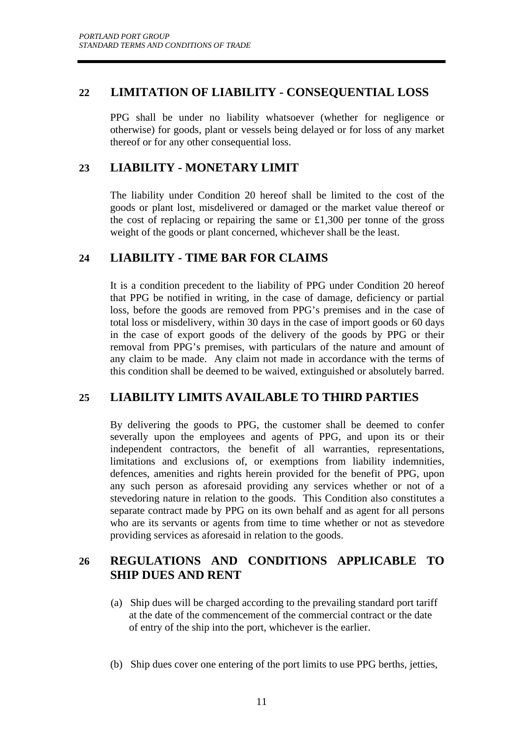## **22 LIMITATION OF LIABILITY - CONSEQUENTIAL LOSS**

 PPG shall be under no liability whatsoever (whether for negligence or otherwise) for goods, plant or vessels being delayed or for loss of any market thereof or for any other consequential loss.

# **23 LIABILITY - MONETARY LIMIT**

 The liability under Condition 20 hereof shall be limited to the cost of the goods or plant lost, misdelivered or damaged or the market value thereof or the cost of replacing or repairing the same or £1,300 per tonne of the gross weight of the goods or plant concerned, whichever shall be the least.

## **24 LIABILITY - TIME BAR FOR CLAIMS**

 It is a condition precedent to the liability of PPG under Condition 20 hereof that PPG be notified in writing, in the case of damage, deficiency or partial loss, before the goods are removed from PPG's premises and in the case of total loss or misdelivery, within 30 days in the case of import goods or 60 days in the case of export goods of the delivery of the goods by PPG or their removal from PPG's premises, with particulars of the nature and amount of any claim to be made. Any claim not made in accordance with the terms of this condition shall be deemed to be waived, extinguished or absolutely barred.

## **25 LIABILITY LIMITS AVAILABLE TO THIRD PARTIES**

 By delivering the goods to PPG, the customer shall be deemed to confer severally upon the employees and agents of PPG, and upon its or their independent contractors, the benefit of all warranties, representations, limitations and exclusions of, or exemptions from liability indemnities, defences, amenities and rights herein provided for the benefit of PPG, upon any such person as aforesaid providing any services whether or not of a stevedoring nature in relation to the goods. This Condition also constitutes a separate contract made by PPG on its own behalf and as agent for all persons who are its servants or agents from time to time whether or not as stevedore providing services as aforesaid in relation to the goods.

# **26 REGULATIONS AND CONDITIONS APPLICABLE TO SHIP DUES AND RENT**

- (a) Ship dues will be charged according to the prevailing standard port tariff at the date of the commencement of the commercial contract or the date of entry of the ship into the port, whichever is the earlier.
- (b) Ship dues cover one entering of the port limits to use PPG berths, jetties,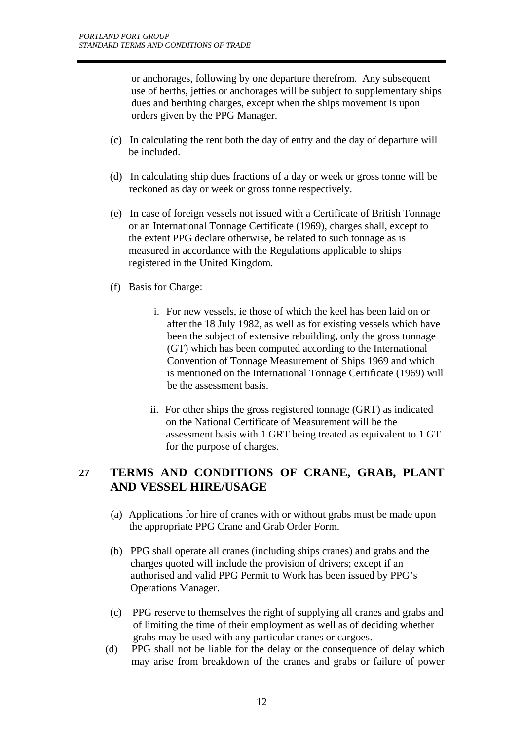or anchorages, following by one departure therefrom. Any subsequent use of berths, jetties or anchorages will be subject to supplementary ships dues and berthing charges, except when the ships movement is upon orders given by the PPG Manager.

- (c) In calculating the rent both the day of entry and the day of departure will be included.
- (d) In calculating ship dues fractions of a day or week or gross tonne will be reckoned as day or week or gross tonne respectively.
- (e) In case of foreign vessels not issued with a Certificate of British Tonnage or an International Tonnage Certificate (1969), charges shall, except to the extent PPG declare otherwise, be related to such tonnage as is measured in accordance with the Regulations applicable to ships registered in the United Kingdom.
- (f) Basis for Charge:
	- i. For new vessels, ie those of which the keel has been laid on or after the 18 July 1982, as well as for existing vessels which have been the subject of extensive rebuilding, only the gross tonnage (GT) which has been computed according to the International Convention of Tonnage Measurement of Ships 1969 and which is mentioned on the International Tonnage Certificate (1969) will be the assessment basis.
	- ii. For other ships the gross registered tonnage (GRT) as indicated on the National Certificate of Measurement will be the assessment basis with 1 GRT being treated as equivalent to 1 GT for the purpose of charges.

## **27 TERMS AND CONDITIONS OF CRANE, GRAB, PLANT AND VESSEL HIRE/USAGE**

- (a) Applications for hire of cranes with or without grabs must be made upon the appropriate PPG Crane and Grab Order Form.
- (b) PPG shall operate all cranes (including ships cranes) and grabs and the charges quoted will include the provision of drivers; except if an authorised and valid PPG Permit to Work has been issued by PPG's Operations Manager.
- (c) PPG reserve to themselves the right of supplying all cranes and grabs and of limiting the time of their employment as well as of deciding whether grabs may be used with any particular cranes or cargoes.
- (d) PPG shall not be liable for the delay or the consequence of delay which may arise from breakdown of the cranes and grabs or failure of power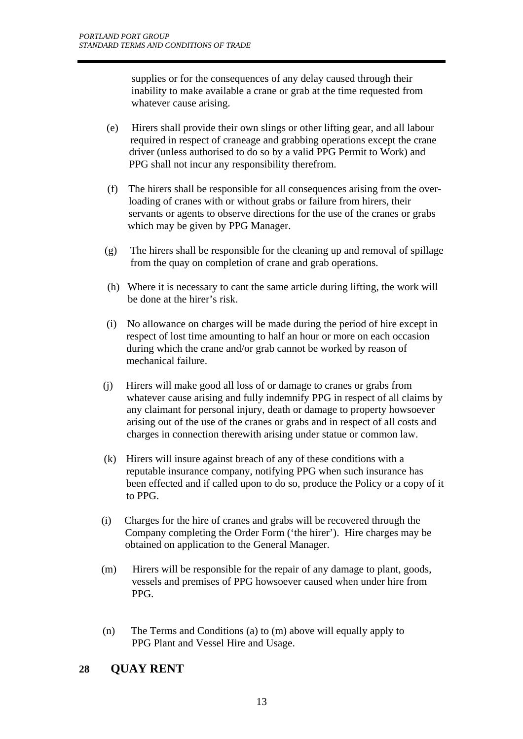supplies or for the consequences of any delay caused through their inability to make available a crane or grab at the time requested from whatever cause arising.

- (e) Hirers shall provide their own slings or other lifting gear, and all labour required in respect of craneage and grabbing operations except the crane driver (unless authorised to do so by a valid PPG Permit to Work) and PPG shall not incur any responsibility therefrom.
- (f) The hirers shall be responsible for all consequences arising from the over loading of cranes with or without grabs or failure from hirers, their servants or agents to observe directions for the use of the cranes or grabs which may be given by PPG Manager.
- (g) The hirers shall be responsible for the cleaning up and removal of spillage from the quay on completion of crane and grab operations.
- (h) Where it is necessary to cant the same article during lifting, the work will be done at the hirer's risk.
- (i) No allowance on charges will be made during the period of hire except in respect of lost time amounting to half an hour or more on each occasion during which the crane and/or grab cannot be worked by reason of mechanical failure.
- (j) Hirers will make good all loss of or damage to cranes or grabs from whatever cause arising and fully indemnify PPG in respect of all claims by any claimant for personal injury, death or damage to property howsoever arising out of the use of the cranes or grabs and in respect of all costs and charges in connection therewith arising under statue or common law.
- (k) Hirers will insure against breach of any of these conditions with a reputable insurance company, notifying PPG when such insurance has been effected and if called upon to do so, produce the Policy or a copy of it to PPG.
- (i) Charges for the hire of cranes and grabs will be recovered through the Company completing the Order Form ('the hirer'). Hire charges may be obtained on application to the General Manager.
- (m) Hirers will be responsible for the repair of any damage to plant, goods, vessels and premises of PPG howsoever caused when under hire from PPG.
- (n) The Terms and Conditions (a) to (m) above will equally apply to PPG Plant and Vessel Hire and Usage.

## **28 QUAY RENT**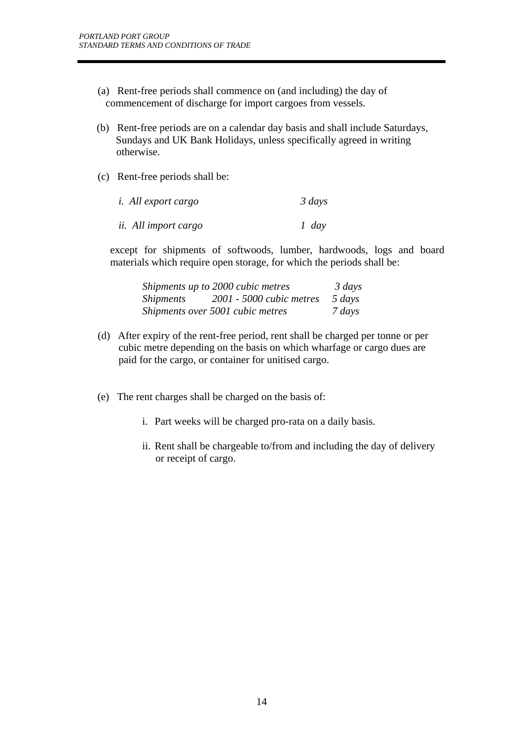- (a) Rent-free periods shall commence on (and including) the day of commencement of discharge for import cargoes from vessels.
- (b) Rent-free periods are on a calendar day basis and shall include Saturdays, Sundays and UK Bank Holidays, unless specifically agreed in writing otherwise.
- (c) Rent-free periods shall be:

| <i>i. All export cargo</i> | $\frac{3}{3}$ days |
|----------------------------|--------------------|
| ii. All import cargo       | $1$ day            |

except for shipments of softwoods, lumber, hardwoods, logs and board materials which require open storage, for which the periods shall be:

| Shipments up to 2000 cubic metres  | $\frac{3}{3}$ days |
|------------------------------------|--------------------|
| Shipments 2001 - 5000 cubic metres | 5 days             |
| Shipments over 5001 cubic metres   | 7 days             |

- (d) After expiry of the rent-free period, rent shall be charged per tonne or per cubic metre depending on the basis on which wharfage or cargo dues are paid for the cargo, or container for unitised cargo.
- (e) The rent charges shall be charged on the basis of:
	- i. Part weeks will be charged pro-rata on a daily basis.
	- ii. Rent shall be chargeable to/from and including the day of delivery or receipt of cargo.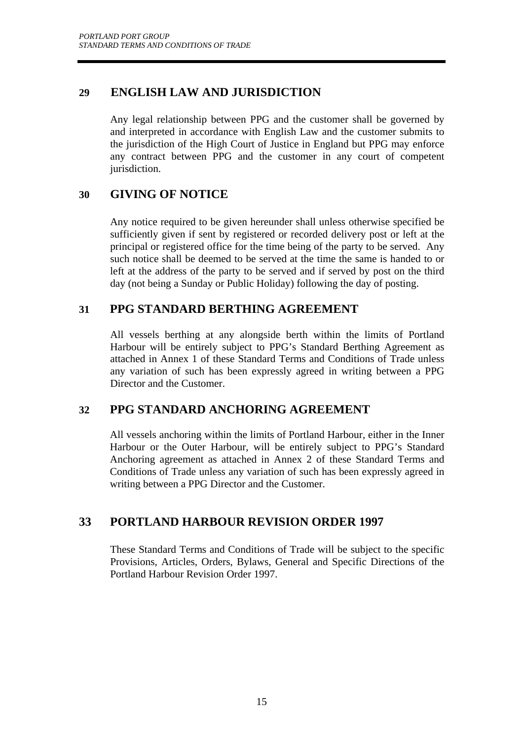## **29 ENGLISH LAW AND JURISDICTION**

Any legal relationship between PPG and the customer shall be governed by and interpreted in accordance with English Law and the customer submits to the jurisdiction of the High Court of Justice in England but PPG may enforce any contract between PPG and the customer in any court of competent jurisdiction.

# **30 GIVING OF NOTICE**

 Any notice required to be given hereunder shall unless otherwise specified be sufficiently given if sent by registered or recorded delivery post or left at the principal or registered office for the time being of the party to be served. Any such notice shall be deemed to be served at the time the same is handed to or left at the address of the party to be served and if served by post on the third day (not being a Sunday or Public Holiday) following the day of posting.

## **31 PPG STANDARD BERTHING AGREEMENT**

 All vessels berthing at any alongside berth within the limits of Portland Harbour will be entirely subject to PPG's Standard Berthing Agreement as attached in Annex 1 of these Standard Terms and Conditions of Trade unless any variation of such has been expressly agreed in writing between a PPG Director and the Customer.

## **32 PPG STANDARD ANCHORING AGREEMENT**

All vessels anchoring within the limits of Portland Harbour, either in the Inner Harbour or the Outer Harbour, will be entirely subject to PPG's Standard Anchoring agreement as attached in Annex 2 of these Standard Terms and Conditions of Trade unless any variation of such has been expressly agreed in writing between a PPG Director and the Customer.

# **33 PORTLAND HARBOUR REVISION ORDER 1997**

These Standard Terms and Conditions of Trade will be subject to the specific Provisions, Articles, Orders, Bylaws, General and Specific Directions of the Portland Harbour Revision Order 1997.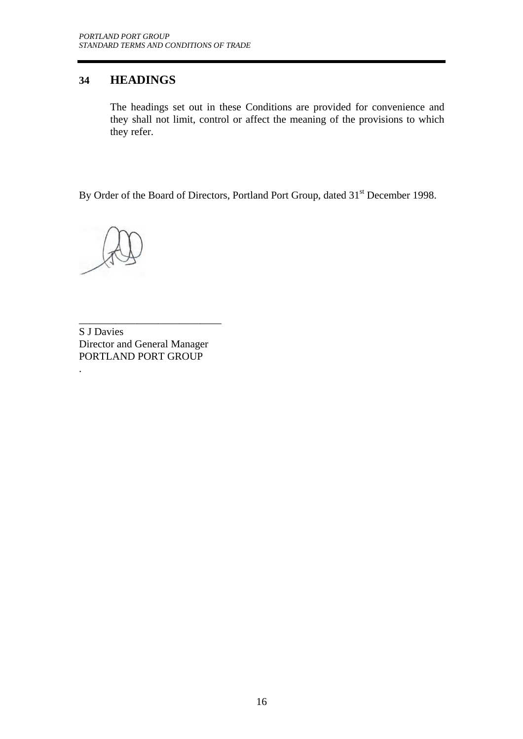## **34 HEADINGS**

The headings set out in these Conditions are provided for convenience and they shall not limit, control or affect the meaning of the provisions to which they refer.

By Order of the Board of Directors, Portland Port Group, dated 31<sup>st</sup> December 1998.

.

\_\_\_\_\_\_\_\_\_\_\_\_\_\_\_\_\_\_\_\_\_\_\_\_\_\_\_ S J Davies Director and General Manager PORTLAND PORT GROUP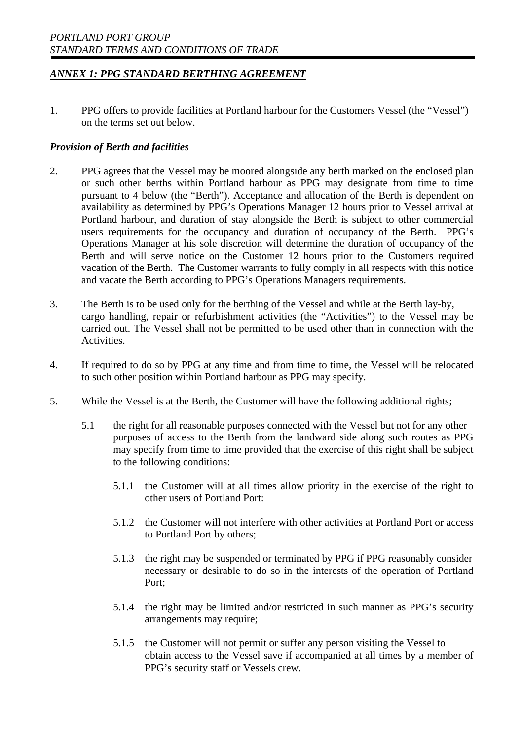1. PPG offers to provide facilities at Portland harbour for the Customers Vessel (the "Vessel") on the terms set out below.

### *Provision of Berth and facilities*

- 2. PPG agrees that the Vessel may be moored alongside any berth marked on the enclosed plan or such other berths within Portland harbour as PPG may designate from time to time pursuant to 4 below (the "Berth"). Acceptance and allocation of the Berth is dependent on availability as determined by PPG's Operations Manager 12 hours prior to Vessel arrival at Portland harbour, and duration of stay alongside the Berth is subject to other commercial users requirements for the occupancy and duration of occupancy of the Berth. PPG's Operations Manager at his sole discretion will determine the duration of occupancy of the Berth and will serve notice on the Customer 12 hours prior to the Customers required vacation of the Berth. The Customer warrants to fully comply in all respects with this notice and vacate the Berth according to PPG's Operations Managers requirements.
- 3. The Berth is to be used only for the berthing of the Vessel and while at the Berth lay-by, cargo handling, repair or refurbishment activities (the "Activities") to the Vessel may be carried out. The Vessel shall not be permitted to be used other than in connection with the Activities.
- 4. If required to do so by PPG at any time and from time to time, the Vessel will be relocated to such other position within Portland harbour as PPG may specify.
- 5. While the Vessel is at the Berth, the Customer will have the following additional rights;
	- 5.1 the right for all reasonable purposes connected with the Vessel but not for any other purposes of access to the Berth from the landward side along such routes as PPG may specify from time to time provided that the exercise of this right shall be subject to the following conditions:
		- 5.1.1 the Customer will at all times allow priority in the exercise of the right to other users of Portland Port:
		- 5.1.2 the Customer will not interfere with other activities at Portland Port or access to Portland Port by others;
		- 5.1.3 the right may be suspended or terminated by PPG if PPG reasonably consider necessary or desirable to do so in the interests of the operation of Portland Port;
		- 5.1.4 the right may be limited and/or restricted in such manner as PPG's security arrangements may require;
		- 5.1.5 the Customer will not permit or suffer any person visiting the Vessel to obtain access to the Vessel save if accompanied at all times by a member of PPG's security staff or Vessels crew.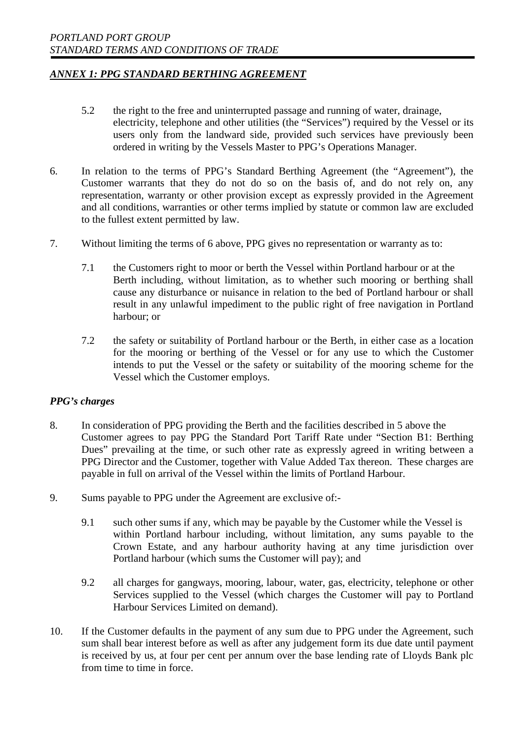- 5.2 the right to the free and uninterrupted passage and running of water, drainage, electricity, telephone and other utilities (the "Services") required by the Vessel or its users only from the landward side, provided such services have previously been ordered in writing by the Vessels Master to PPG's Operations Manager.
- 6. In relation to the terms of PPG's Standard Berthing Agreement (the "Agreement"), the Customer warrants that they do not do so on the basis of, and do not rely on, any representation, warranty or other provision except as expressly provided in the Agreement and all conditions, warranties or other terms implied by statute or common law are excluded to the fullest extent permitted by law.
- 7. Without limiting the terms of 6 above, PPG gives no representation or warranty as to:
	- 7.1 the Customers right to moor or berth the Vessel within Portland harbour or at the Berth including, without limitation, as to whether such mooring or berthing shall cause any disturbance or nuisance in relation to the bed of Portland harbour or shall result in any unlawful impediment to the public right of free navigation in Portland harbour; or
	- 7.2 the safety or suitability of Portland harbour or the Berth, in either case as a location for the mooring or berthing of the Vessel or for any use to which the Customer intends to put the Vessel or the safety or suitability of the mooring scheme for the Vessel which the Customer employs.

### *PPG's charges*

- 8. In consideration of PPG providing the Berth and the facilities described in 5 above the Customer agrees to pay PPG the Standard Port Tariff Rate under "Section B1: Berthing Dues" prevailing at the time, or such other rate as expressly agreed in writing between a PPG Director and the Customer, together with Value Added Tax thereon. These charges are payable in full on arrival of the Vessel within the limits of Portland Harbour.
- 9. Sums payable to PPG under the Agreement are exclusive of:-
	- 9.1 such other sums if any, which may be payable by the Customer while the Vessel is within Portland harbour including, without limitation, any sums payable to the Crown Estate, and any harbour authority having at any time jurisdiction over Portland harbour (which sums the Customer will pay); and
	- 9.2 all charges for gangways, mooring, labour, water, gas, electricity, telephone or other Services supplied to the Vessel (which charges the Customer will pay to Portland Harbour Services Limited on demand).
- 10. If the Customer defaults in the payment of any sum due to PPG under the Agreement, such sum shall bear interest before as well as after any judgement form its due date until payment is received by us, at four per cent per annum over the base lending rate of Lloyds Bank plc from time to time in force.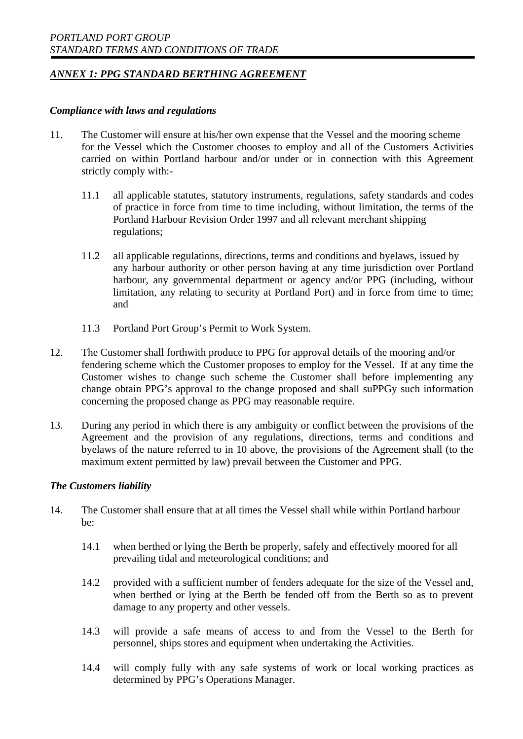#### *Compliance with laws and regulations*

- 11. The Customer will ensure at his/her own expense that the Vessel and the mooring scheme for the Vessel which the Customer chooses to employ and all of the Customers Activities carried on within Portland harbour and/or under or in connection with this Agreement strictly comply with:-
	- 11.1 all applicable statutes, statutory instruments, regulations, safety standards and codes of practice in force from time to time including, without limitation, the terms of the Portland Harbour Revision Order 1997 and all relevant merchant shipping regulations;
	- 11.2 all applicable regulations, directions, terms and conditions and byelaws, issued by any harbour authority or other person having at any time jurisdiction over Portland harbour, any governmental department or agency and/or PPG (including, without limitation, any relating to security at Portland Port) and in force from time to time; and
	- 11.3 Portland Port Group's Permit to Work System.
- 12. The Customer shall forthwith produce to PPG for approval details of the mooring and/or fendering scheme which the Customer proposes to employ for the Vessel. If at any time the Customer wishes to change such scheme the Customer shall before implementing any change obtain PPG's approval to the change proposed and shall suPPGy such information concerning the proposed change as PPG may reasonable require.
- 13. During any period in which there is any ambiguity or conflict between the provisions of the Agreement and the provision of any regulations, directions, terms and conditions and byelaws of the nature referred to in 10 above, the provisions of the Agreement shall (to the maximum extent permitted by law) prevail between the Customer and PPG.

### *The Customers liability*

- 14. The Customer shall ensure that at all times the Vessel shall while within Portland harbour be:
	- 14.1 when berthed or lying the Berth be properly, safely and effectively moored for all prevailing tidal and meteorological conditions; and
	- 14.2 provided with a sufficient number of fenders adequate for the size of the Vessel and, when berthed or lying at the Berth be fended off from the Berth so as to prevent damage to any property and other vessels.
	- 14.3 will provide a safe means of access to and from the Vessel to the Berth for personnel, ships stores and equipment when undertaking the Activities.
	- 14.4 will comply fully with any safe systems of work or local working practices as determined by PPG's Operations Manager.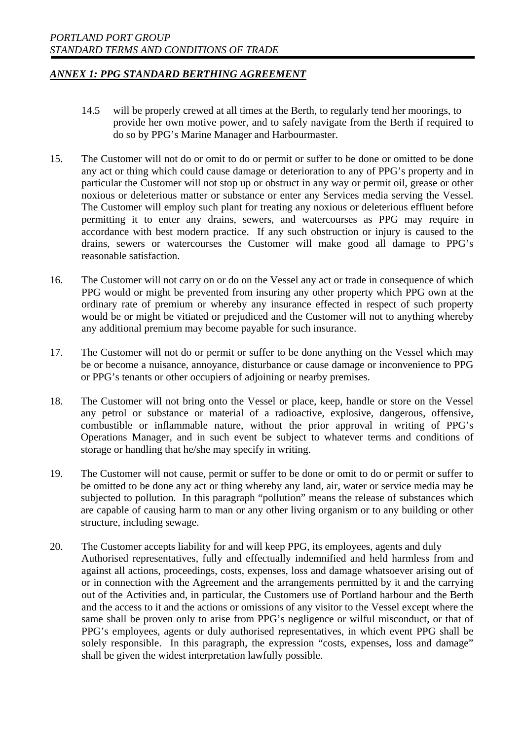- 14.5 will be properly crewed at all times at the Berth, to regularly tend her moorings, to provide her own motive power, and to safely navigate from the Berth if required to do so by PPG's Marine Manager and Harbourmaster.
- 15. The Customer will not do or omit to do or permit or suffer to be done or omitted to be done any act or thing which could cause damage or deterioration to any of PPG's property and in particular the Customer will not stop up or obstruct in any way or permit oil, grease or other noxious or deleterious matter or substance or enter any Services media serving the Vessel. The Customer will employ such plant for treating any noxious or deleterious effluent before permitting it to enter any drains, sewers, and watercourses as PPG may require in accordance with best modern practice. If any such obstruction or injury is caused to the drains, sewers or watercourses the Customer will make good all damage to PPG's reasonable satisfaction.
- 16. The Customer will not carry on or do on the Vessel any act or trade in consequence of which PPG would or might be prevented from insuring any other property which PPG own at the ordinary rate of premium or whereby any insurance effected in respect of such property would be or might be vitiated or prejudiced and the Customer will not to anything whereby any additional premium may become payable for such insurance.
- 17. The Customer will not do or permit or suffer to be done anything on the Vessel which may be or become a nuisance, annoyance, disturbance or cause damage or inconvenience to PPG or PPG's tenants or other occupiers of adjoining or nearby premises.
- 18. The Customer will not bring onto the Vessel or place, keep, handle or store on the Vessel any petrol or substance or material of a radioactive, explosive, dangerous, offensive, combustible or inflammable nature, without the prior approval in writing of PPG's Operations Manager, and in such event be subject to whatever terms and conditions of storage or handling that he/she may specify in writing.
- 19. The Customer will not cause, permit or suffer to be done or omit to do or permit or suffer to be omitted to be done any act or thing whereby any land, air, water or service media may be subjected to pollution. In this paragraph "pollution" means the release of substances which are capable of causing harm to man or any other living organism or to any building or other structure, including sewage.
- 20. The Customer accepts liability for and will keep PPG, its employees, agents and duly Authorised representatives, fully and effectually indemnified and held harmless from and against all actions, proceedings, costs, expenses, loss and damage whatsoever arising out of or in connection with the Agreement and the arrangements permitted by it and the carrying out of the Activities and, in particular, the Customers use of Portland harbour and the Berth and the access to it and the actions or omissions of any visitor to the Vessel except where the same shall be proven only to arise from PPG's negligence or wilful misconduct, or that of PPG's employees, agents or duly authorised representatives, in which event PPG shall be solely responsible. In this paragraph, the expression "costs, expenses, loss and damage" shall be given the widest interpretation lawfully possible.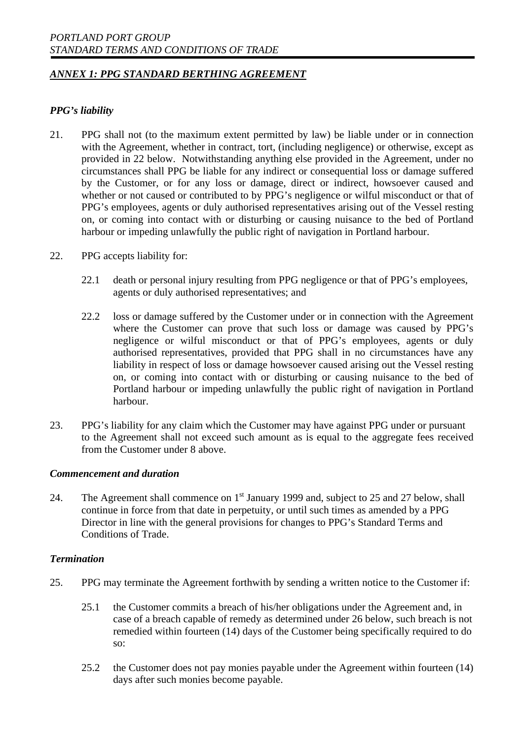### *PPG's liability*

- 21. PPG shall not (to the maximum extent permitted by law) be liable under or in connection with the Agreement, whether in contract, tort, (including negligence) or otherwise, except as provided in 22 below. Notwithstanding anything else provided in the Agreement, under no circumstances shall PPG be liable for any indirect or consequential loss or damage suffered by the Customer, or for any loss or damage, direct or indirect, howsoever caused and whether or not caused or contributed to by PPG's negligence or wilful misconduct or that of PPG's employees, agents or duly authorised representatives arising out of the Vessel resting on, or coming into contact with or disturbing or causing nuisance to the bed of Portland harbour or impeding unlawfully the public right of navigation in Portland harbour.
- 22. PPG accepts liability for:
	- 22.1 death or personal injury resulting from PPG negligence or that of PPG's employees, agents or duly authorised representatives; and
	- 22.2 loss or damage suffered by the Customer under or in connection with the Agreement where the Customer can prove that such loss or damage was caused by PPG's negligence or wilful misconduct or that of PPG's employees, agents or duly authorised representatives, provided that PPG shall in no circumstances have any liability in respect of loss or damage howsoever caused arising out the Vessel resting on, or coming into contact with or disturbing or causing nuisance to the bed of Portland harbour or impeding unlawfully the public right of navigation in Portland harbour.
- 23. PPG's liability for any claim which the Customer may have against PPG under or pursuant to the Agreement shall not exceed such amount as is equal to the aggregate fees received from the Customer under 8 above.

#### *Commencement and duration*

24. The Agreement shall commence on 1<sup>st</sup> January 1999 and, subject to 25 and 27 below, shall continue in force from that date in perpetuity, or until such times as amended by a PPG Director in line with the general provisions for changes to PPG's Standard Terms and Conditions of Trade.

#### *Termination*

- 25. PPG may terminate the Agreement forthwith by sending a written notice to the Customer if:
	- 25.1 the Customer commits a breach of his/her obligations under the Agreement and, in case of a breach capable of remedy as determined under 26 below, such breach is not remedied within fourteen (14) days of the Customer being specifically required to do so:
	- 25.2 the Customer does not pay monies payable under the Agreement within fourteen (14) days after such monies become payable.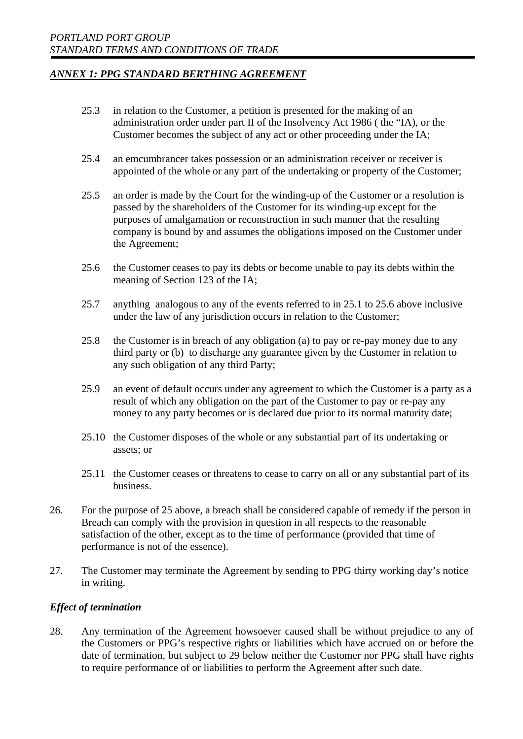- 25.3 in relation to the Customer, a petition is presented for the making of an administration order under part II of the Insolvency Act 1986 ( the "IA), or the Customer becomes the subject of any act or other proceeding under the IA;
- 25.4 an emcumbrancer takes possession or an administration receiver or receiver is appointed of the whole or any part of the undertaking or property of the Customer;
- 25.5 an order is made by the Court for the winding-up of the Customer or a resolution is passed by the shareholders of the Customer for its winding-up except for the purposes of amalgamation or reconstruction in such manner that the resulting company is bound by and assumes the obligations imposed on the Customer under the Agreement;
- 25.6 the Customer ceases to pay its debts or become unable to pay its debts within the meaning of Section 123 of the IA;
- 25.7 anything analogous to any of the events referred to in 25.1 to 25.6 above inclusive under the law of any jurisdiction occurs in relation to the Customer;
- 25.8 the Customer is in breach of any obligation (a) to pay or re-pay money due to any third party or (b) to discharge any guarantee given by the Customer in relation to any such obligation of any third Party;
- 25.9 an event of default occurs under any agreement to which the Customer is a party as a result of which any obligation on the part of the Customer to pay or re-pay any money to any party becomes or is declared due prior to its normal maturity date;
- 25.10 the Customer disposes of the whole or any substantial part of its undertaking or assets; or
- 25.11 the Customer ceases or threatens to cease to carry on all or any substantial part of its business.
- 26. For the purpose of 25 above, a breach shall be considered capable of remedy if the person in Breach can comply with the provision in question in all respects to the reasonable satisfaction of the other, except as to the time of performance (provided that time of performance is not of the essence).
- 27. The Customer may terminate the Agreement by sending to PPG thirty working day's notice in writing.

### *Effect of termination*

28. Any termination of the Agreement howsoever caused shall be without prejudice to any of the Customers or PPG's respective rights or liabilities which have accrued on or before the date of termination, but subject to 29 below neither the Customer nor PPG shall have rights to require performance of or liabilities to perform the Agreement after such date.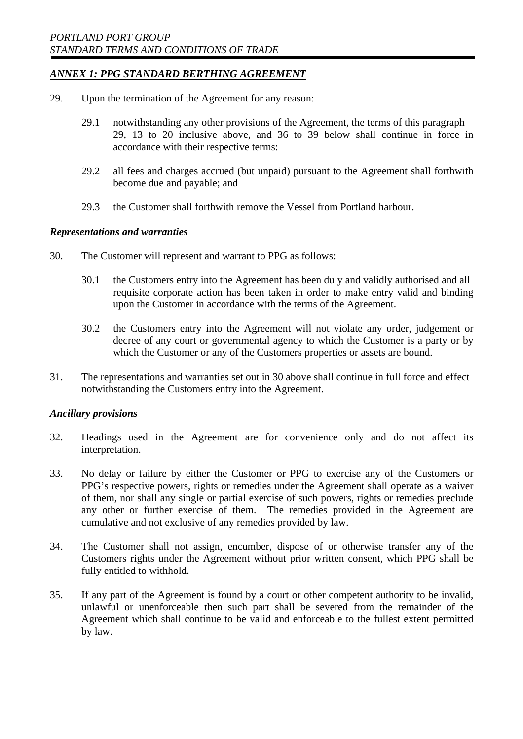- 29. Upon the termination of the Agreement for any reason:
	- 29.1 notwithstanding any other provisions of the Agreement, the terms of this paragraph 29, 13 to 20 inclusive above, and 36 to 39 below shall continue in force in accordance with their respective terms:
	- 29.2 all fees and charges accrued (but unpaid) pursuant to the Agreement shall forthwith become due and payable; and
	- 29.3 the Customer shall forthwith remove the Vessel from Portland harbour.

#### *Representations and warranties*

- 30. The Customer will represent and warrant to PPG as follows:
	- 30.1 the Customers entry into the Agreement has been duly and validly authorised and all requisite corporate action has been taken in order to make entry valid and binding upon the Customer in accordance with the terms of the Agreement.
	- 30.2 the Customers entry into the Agreement will not violate any order, judgement or decree of any court or governmental agency to which the Customer is a party or by which the Customer or any of the Customers properties or assets are bound.
- 31. The representations and warranties set out in 30 above shall continue in full force and effect notwithstanding the Customers entry into the Agreement.

#### *Ancillary provisions*

- 32. Headings used in the Agreement are for convenience only and do not affect its interpretation.
- 33. No delay or failure by either the Customer or PPG to exercise any of the Customers or PPG's respective powers, rights or remedies under the Agreement shall operate as a waiver of them, nor shall any single or partial exercise of such powers, rights or remedies preclude any other or further exercise of them. The remedies provided in the Agreement are cumulative and not exclusive of any remedies provided by law.
- 34. The Customer shall not assign, encumber, dispose of or otherwise transfer any of the Customers rights under the Agreement without prior written consent, which PPG shall be fully entitled to withhold.
- 35. If any part of the Agreement is found by a court or other competent authority to be invalid, unlawful or unenforceable then such part shall be severed from the remainder of the Agreement which shall continue to be valid and enforceable to the fullest extent permitted by law.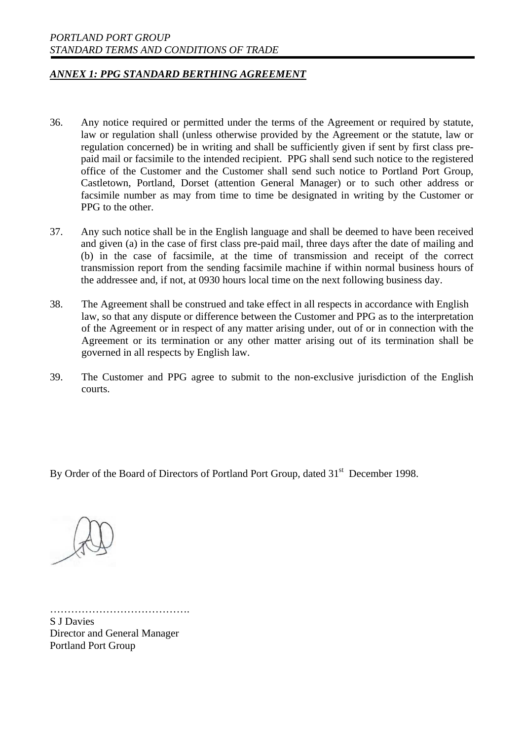- 36. Any notice required or permitted under the terms of the Agreement or required by statute, law or regulation shall (unless otherwise provided by the Agreement or the statute, law or regulation concerned) be in writing and shall be sufficiently given if sent by first class prepaid mail or facsimile to the intended recipient. PPG shall send such notice to the registered office of the Customer and the Customer shall send such notice to Portland Port Group, Castletown, Portland, Dorset (attention General Manager) or to such other address or facsimile number as may from time to time be designated in writing by the Customer or PPG to the other.
- 37. Any such notice shall be in the English language and shall be deemed to have been received and given (a) in the case of first class pre-paid mail, three days after the date of mailing and (b) in the case of facsimile, at the time of transmission and receipt of the correct transmission report from the sending facsimile machine if within normal business hours of the addressee and, if not, at 0930 hours local time on the next following business day.
- 38. The Agreement shall be construed and take effect in all respects in accordance with English law, so that any dispute or difference between the Customer and PPG as to the interpretation of the Agreement or in respect of any matter arising under, out of or in connection with the Agreement or its termination or any other matter arising out of its termination shall be governed in all respects by English law.
- 39. The Customer and PPG agree to submit to the non-exclusive jurisdiction of the English courts.

By Order of the Board of Directors of Portland Port Group, dated 31<sup>st</sup> December 1998.



……………………………………………… S J Davies Director and General Manager Portland Port Group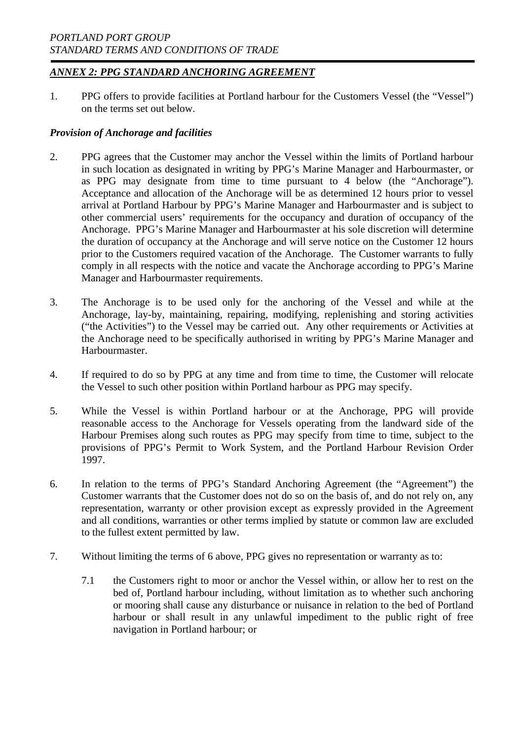1. PPG offers to provide facilities at Portland harbour for the Customers Vessel (the "Vessel") on the terms set out below.

### *Provision of Anchorage and facilities*

- 2. PPG agrees that the Customer may anchor the Vessel within the limits of Portland harbour in such location as designated in writing by PPG's Marine Manager and Harbourmaster, or as PPG may designate from time to time pursuant to 4 below (the "Anchorage"). Acceptance and allocation of the Anchorage will be as determined 12 hours prior to vessel arrival at Portland Harbour by PPG's Marine Manager and Harbourmaster and is subject to other commercial users' requirements for the occupancy and duration of occupancy of the Anchorage. PPG's Marine Manager and Harbourmaster at his sole discretion will determine the duration of occupancy at the Anchorage and will serve notice on the Customer 12 hours prior to the Customers required vacation of the Anchorage. The Customer warrants to fully comply in all respects with the notice and vacate the Anchorage according to PPG's Marine Manager and Harbourmaster requirements.
- 3. The Anchorage is to be used only for the anchoring of the Vessel and while at the Anchorage, lay-by, maintaining, repairing, modifying, replenishing and storing activities ("the Activities") to the Vessel may be carried out. Any other requirements or Activities at the Anchorage need to be specifically authorised in writing by PPG's Marine Manager and Harbourmaster.
- 4. If required to do so by PPG at any time and from time to time, the Customer will relocate the Vessel to such other position within Portland harbour as PPG may specify.
- 5. While the Vessel is within Portland harbour or at the Anchorage, PPG will provide reasonable access to the Anchorage for Vessels operating from the landward side of the Harbour Premises along such routes as PPG may specify from time to time, subject to the provisions of PPG's Permit to Work System, and the Portland Harbour Revision Order 1997.
- 6. In relation to the terms of PPG's Standard Anchoring Agreement (the "Agreement") the Customer warrants that the Customer does not do so on the basis of, and do not rely on, any representation, warranty or other provision except as expressly provided in the Agreement and all conditions, warranties or other terms implied by statute or common law are excluded to the fullest extent permitted by law.
- 7. Without limiting the terms of 6 above, PPG gives no representation or warranty as to:
	- 7.1 the Customers right to moor or anchor the Vessel within, or allow her to rest on the bed of, Portland harbour including, without limitation as to whether such anchoring or mooring shall cause any disturbance or nuisance in relation to the bed of Portland harbour or shall result in any unlawful impediment to the public right of free navigation in Portland harbour; or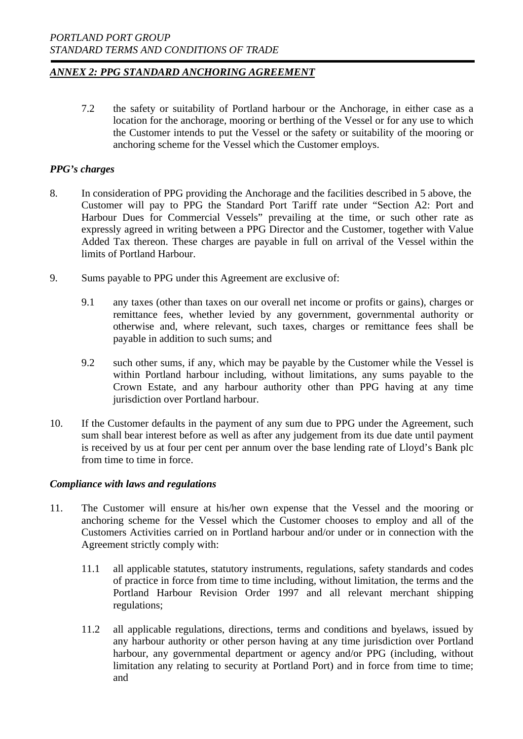7.2 the safety or suitability of Portland harbour or the Anchorage, in either case as a location for the anchorage, mooring or berthing of the Vessel or for any use to which the Customer intends to put the Vessel or the safety or suitability of the mooring or anchoring scheme for the Vessel which the Customer employs.

### *PPG's charges*

- 8. In consideration of PPG providing the Anchorage and the facilities described in 5 above, the Customer will pay to PPG the Standard Port Tariff rate under "Section A2: Port and Harbour Dues for Commercial Vessels" prevailing at the time, or such other rate as expressly agreed in writing between a PPG Director and the Customer, together with Value Added Tax thereon. These charges are payable in full on arrival of the Vessel within the limits of Portland Harbour.
- 9. Sums payable to PPG under this Agreement are exclusive of:
	- 9.1 any taxes (other than taxes on our overall net income or profits or gains), charges or remittance fees, whether levied by any government, governmental authority or otherwise and, where relevant, such taxes, charges or remittance fees shall be payable in addition to such sums; and
	- 9.2 such other sums, if any, which may be payable by the Customer while the Vessel is within Portland harbour including, without limitations, any sums payable to the Crown Estate, and any harbour authority other than PPG having at any time jurisdiction over Portland harbour.
- 10. If the Customer defaults in the payment of any sum due to PPG under the Agreement, such sum shall bear interest before as well as after any judgement from its due date until payment is received by us at four per cent per annum over the base lending rate of Lloyd's Bank plc from time to time in force.

### *Compliance with laws and regulations*

- 11. The Customer will ensure at his/her own expense that the Vessel and the mooring or anchoring scheme for the Vessel which the Customer chooses to employ and all of the Customers Activities carried on in Portland harbour and/or under or in connection with the Agreement strictly comply with:
	- 11.1 all applicable statutes, statutory instruments, regulations, safety standards and codes of practice in force from time to time including, without limitation, the terms and the Portland Harbour Revision Order 1997 and all relevant merchant shipping regulations;
	- 11.2 all applicable regulations, directions, terms and conditions and byelaws, issued by any harbour authority or other person having at any time jurisdiction over Portland harbour, any governmental department or agency and/or PPG (including, without limitation any relating to security at Portland Port) and in force from time to time; and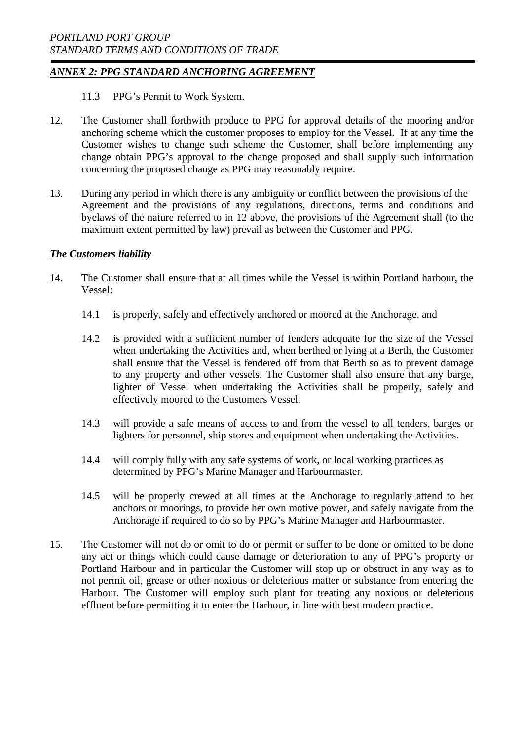11.3 PPG's Permit to Work System.

- 12. The Customer shall forthwith produce to PPG for approval details of the mooring and/or anchoring scheme which the customer proposes to employ for the Vessel. If at any time the Customer wishes to change such scheme the Customer, shall before implementing any change obtain PPG's approval to the change proposed and shall supply such information concerning the proposed change as PPG may reasonably require.
- 13. During any period in which there is any ambiguity or conflict between the provisions of the Agreement and the provisions of any regulations, directions, terms and conditions and byelaws of the nature referred to in 12 above, the provisions of the Agreement shall (to the maximum extent permitted by law) prevail as between the Customer and PPG.

### *The Customers liability*

- 14. The Customer shall ensure that at all times while the Vessel is within Portland harbour, the Vessel:
	- 14.1 is properly, safely and effectively anchored or moored at the Anchorage, and
	- 14.2 is provided with a sufficient number of fenders adequate for the size of the Vessel when undertaking the Activities and, when berthed or lying at a Berth, the Customer shall ensure that the Vessel is fendered off from that Berth so as to prevent damage to any property and other vessels. The Customer shall also ensure that any barge, lighter of Vessel when undertaking the Activities shall be properly, safely and effectively moored to the Customers Vessel.
	- 14.3 will provide a safe means of access to and from the vessel to all tenders, barges or lighters for personnel, ship stores and equipment when undertaking the Activities.
	- 14.4 will comply fully with any safe systems of work, or local working practices as determined by PPG's Marine Manager and Harbourmaster.
	- 14.5 will be properly crewed at all times at the Anchorage to regularly attend to her anchors or moorings, to provide her own motive power, and safely navigate from the Anchorage if required to do so by PPG's Marine Manager and Harbourmaster.
- 15. The Customer will not do or omit to do or permit or suffer to be done or omitted to be done any act or things which could cause damage or deterioration to any of PPG's property or Portland Harbour and in particular the Customer will stop up or obstruct in any way as to not permit oil, grease or other noxious or deleterious matter or substance from entering the Harbour. The Customer will employ such plant for treating any noxious or deleterious effluent before permitting it to enter the Harbour, in line with best modern practice.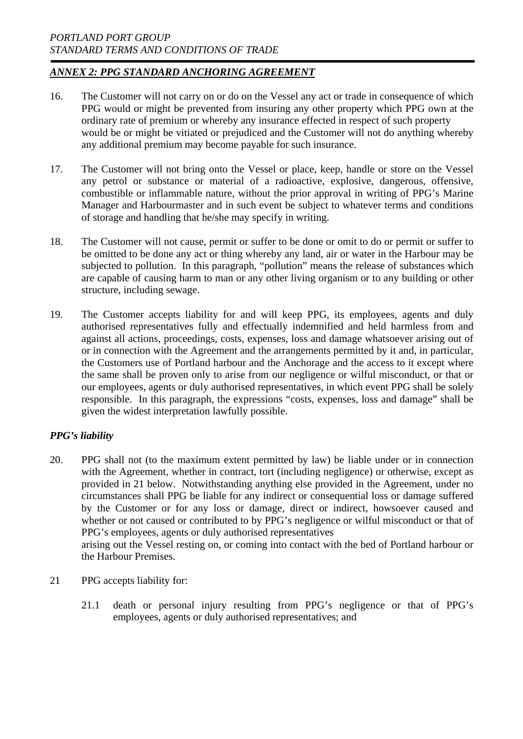- 16. The Customer will not carry on or do on the Vessel any act or trade in consequence of which PPG would or might be prevented from insuring any other property which PPG own at the ordinary rate of premium or whereby any insurance effected in respect of such property would be or might be vitiated or prejudiced and the Customer will not do anything whereby any additional premium may become payable for such insurance.
- 17. The Customer will not bring onto the Vessel or place, keep, handle or store on the Vessel any petrol or substance or material of a radioactive, explosive, dangerous, offensive, combustible or inflammable nature, without the prior approval in writing of PPG's Marine Manager and Harbourmaster and in such event be subject to whatever terms and conditions of storage and handling that he/she may specify in writing.
- 18. The Customer will not cause, permit or suffer to be done or omit to do or permit or suffer to be omitted to be done any act or thing whereby any land, air or water in the Harbour may be subjected to pollution. In this paragraph, "pollution" means the release of substances which are capable of causing harm to man or any other living organism or to any building or other structure, including sewage.
- 19. The Customer accepts liability for and will keep PPG, its employees, agents and duly authorised representatives fully and effectually indemnified and held harmless from and against all actions, proceedings, costs, expenses, loss and damage whatsoever arising out of or in connection with the Agreement and the arrangements permitted by it and, in particular, the Customers use of Portland harbour and the Anchorage and the access to it except where the same shall be proven only to arise from our negligence or wilful misconduct, or that or our employees, agents or duly authorised representatives, in which event PPG shall be solely responsible. In this paragraph, the expressions "costs, expenses, loss and damage" shall be given the widest interpretation lawfully possible.

### *PPG's liability*

20. PPG shall not (to the maximum extent permitted by law) be liable under or in connection with the Agreement, whether in contract, tort (including negligence) or otherwise, except as provided in 21 below. Notwithstanding anything else provided in the Agreement, under no circumstances shall PPG be liable for any indirect or consequential loss or damage suffered by the Customer or for any loss or damage, direct or indirect, howsoever caused and whether or not caused or contributed to by PPG's negligence or wilful misconduct or that of PPG's employees, agents or duly authorised representatives

arising out the Vessel resting on, or coming into contact with the bed of Portland harbour or the Harbour Premises.

- 21 PPG accepts liability for:
	- 21.1 death or personal injury resulting from PPG's negligence or that of PPG's employees, agents or duly authorised representatives; and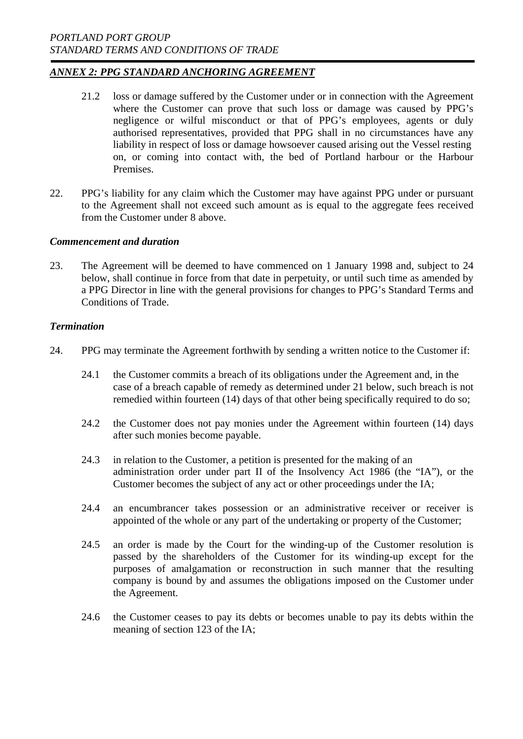- 21.2 loss or damage suffered by the Customer under or in connection with the Agreement where the Customer can prove that such loss or damage was caused by PPG's negligence or wilful misconduct or that of PPG's employees, agents or duly authorised representatives, provided that PPG shall in no circumstances have any liability in respect of loss or damage howsoever caused arising out the Vessel resting on, or coming into contact with, the bed of Portland harbour or the Harbour Premises.
- 22. PPG's liability for any claim which the Customer may have against PPG under or pursuant to the Agreement shall not exceed such amount as is equal to the aggregate fees received from the Customer under 8 above.

#### *Commencement and duration*

23. The Agreement will be deemed to have commenced on 1 January 1998 and, subject to 24 below, shall continue in force from that date in perpetuity, or until such time as amended by a PPG Director in line with the general provisions for changes to PPG's Standard Terms and Conditions of Trade.

#### *Termination*

- 24. PPG may terminate the Agreement forthwith by sending a written notice to the Customer if:
	- 24.1 the Customer commits a breach of its obligations under the Agreement and, in the case of a breach capable of remedy as determined under 21 below, such breach is not remedied within fourteen (14) days of that other being specifically required to do so;
	- 24.2 the Customer does not pay monies under the Agreement within fourteen (14) days after such monies become payable.
	- 24.3 in relation to the Customer, a petition is presented for the making of an administration order under part II of the Insolvency Act 1986 (the "IA"), or the Customer becomes the subject of any act or other proceedings under the IA;
	- 24.4 an encumbrancer takes possession or an administrative receiver or receiver is appointed of the whole or any part of the undertaking or property of the Customer;
	- 24.5 an order is made by the Court for the winding-up of the Customer resolution is passed by the shareholders of the Customer for its winding-up except for the purposes of amalgamation or reconstruction in such manner that the resulting company is bound by and assumes the obligations imposed on the Customer under the Agreement.
	- 24.6 the Customer ceases to pay its debts or becomes unable to pay its debts within the meaning of section 123 of the IA;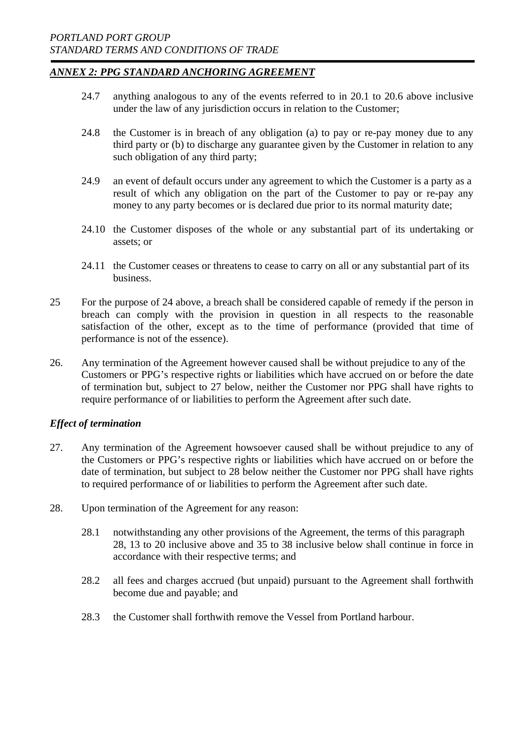- 24.7 anything analogous to any of the events referred to in 20.1 to 20.6 above inclusive under the law of any jurisdiction occurs in relation to the Customer;
- 24.8 the Customer is in breach of any obligation (a) to pay or re-pay money due to any third party or (b) to discharge any guarantee given by the Customer in relation to any such obligation of any third party;
- 24.9 an event of default occurs under any agreement to which the Customer is a party as a result of which any obligation on the part of the Customer to pay or re-pay any money to any party becomes or is declared due prior to its normal maturity date;
- 24.10 the Customer disposes of the whole or any substantial part of its undertaking or assets; or
- 24.11 the Customer ceases or threatens to cease to carry on all or any substantial part of its business.
- 25 For the purpose of 24 above, a breach shall be considered capable of remedy if the person in breach can comply with the provision in question in all respects to the reasonable satisfaction of the other, except as to the time of performance (provided that time of performance is not of the essence).
- 26. Any termination of the Agreement however caused shall be without prejudice to any of the Customers or PPG's respective rights or liabilities which have accrued on or before the date of termination but, subject to 27 below, neither the Customer nor PPG shall have rights to require performance of or liabilities to perform the Agreement after such date.

### *Effect of termination*

- 27. Any termination of the Agreement howsoever caused shall be without prejudice to any of the Customers or PPG's respective rights or liabilities which have accrued on or before the date of termination, but subject to 28 below neither the Customer nor PPG shall have rights to required performance of or liabilities to perform the Agreement after such date.
- 28. Upon termination of the Agreement for any reason:
	- 28.1 notwithstanding any other provisions of the Agreement, the terms of this paragraph 28, 13 to 20 inclusive above and 35 to 38 inclusive below shall continue in force in accordance with their respective terms; and
	- 28.2 all fees and charges accrued (but unpaid) pursuant to the Agreement shall forthwith become due and payable; and
	- 28.3 the Customer shall forthwith remove the Vessel from Portland harbour.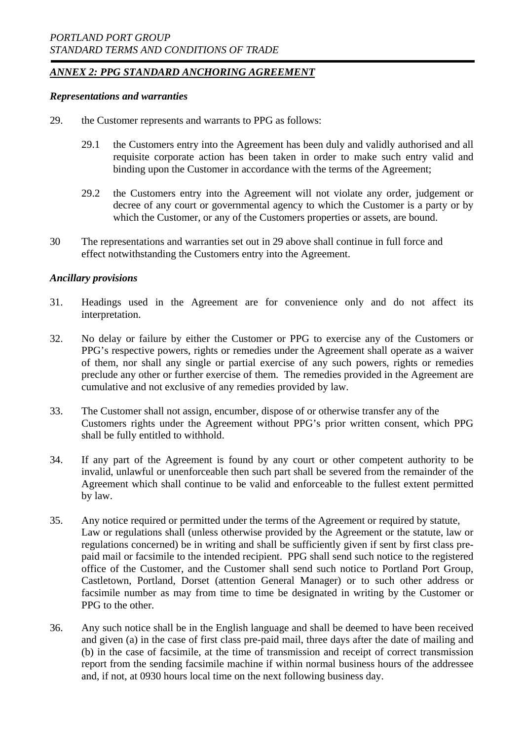#### *Representations and warranties*

- 29. the Customer represents and warrants to PPG as follows:
	- 29.1 the Customers entry into the Agreement has been duly and validly authorised and all requisite corporate action has been taken in order to make such entry valid and binding upon the Customer in accordance with the terms of the Agreement;
	- 29.2 the Customers entry into the Agreement will not violate any order, judgement or decree of any court or governmental agency to which the Customer is a party or by which the Customer, or any of the Customers properties or assets, are bound.
- 30 The representations and warranties set out in 29 above shall continue in full force and effect notwithstanding the Customers entry into the Agreement.

### *Ancillary provisions*

- 31. Headings used in the Agreement are for convenience only and do not affect its interpretation.
- 32. No delay or failure by either the Customer or PPG to exercise any of the Customers or PPG's respective powers, rights or remedies under the Agreement shall operate as a waiver of them, nor shall any single or partial exercise of any such powers, rights or remedies preclude any other or further exercise of them. The remedies provided in the Agreement are cumulative and not exclusive of any remedies provided by law.
- 33. The Customer shall not assign, encumber, dispose of or otherwise transfer any of the Customers rights under the Agreement without PPG's prior written consent, which PPG shall be fully entitled to withhold.
- 34. If any part of the Agreement is found by any court or other competent authority to be invalid, unlawful or unenforceable then such part shall be severed from the remainder of the Agreement which shall continue to be valid and enforceable to the fullest extent permitted by law.
- 35. Any notice required or permitted under the terms of the Agreement or required by statute, Law or regulations shall (unless otherwise provided by the Agreement or the statute, law or regulations concerned) be in writing and shall be sufficiently given if sent by first class prepaid mail or facsimile to the intended recipient. PPG shall send such notice to the registered office of the Customer, and the Customer shall send such notice to Portland Port Group, Castletown, Portland, Dorset (attention General Manager) or to such other address or facsimile number as may from time to time be designated in writing by the Customer or PPG to the other.
- 36. Any such notice shall be in the English language and shall be deemed to have been received and given (a) in the case of first class pre-paid mail, three days after the date of mailing and (b) in the case of facsimile, at the time of transmission and receipt of correct transmission report from the sending facsimile machine if within normal business hours of the addressee and, if not, at 0930 hours local time on the next following business day.